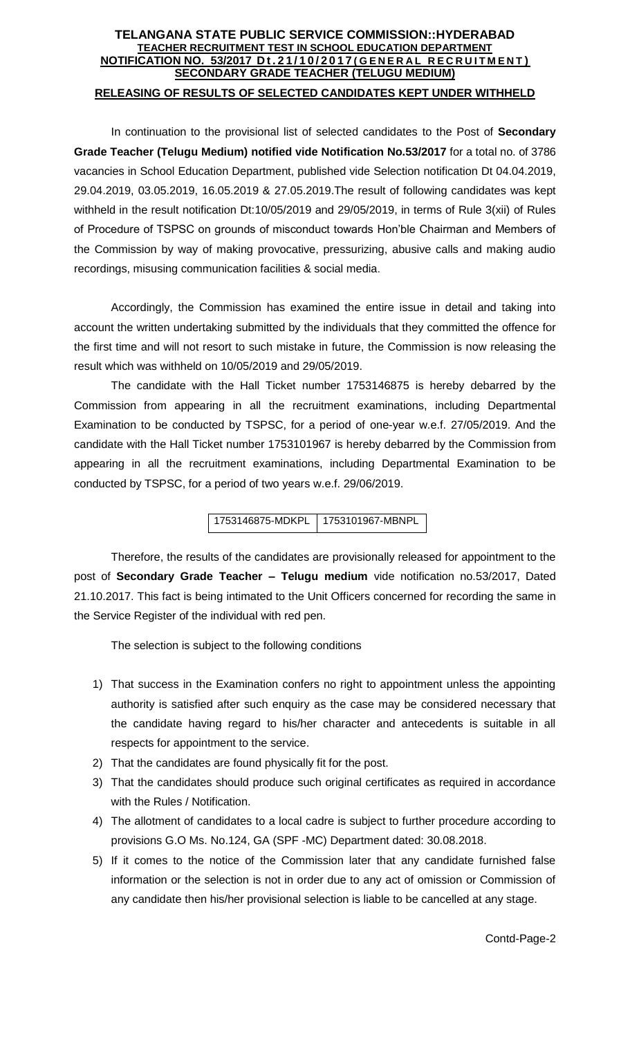## **TELANGANA STATE PUBLIC SERVICE COMMISSION::HYDERABAD TEACHER RECRUITMENT TEST IN SCHOOL EDUCATION DEPARTMENT NOTIFICATION NO. 53/2017 D t . 2 1 / 1 0 / 2 0 1 7 ( G E N E R A L R E C R U I T M E N T ) SECONDARY GRADE TEACHER (TELUGU MEDIUM) RELEASING OF RESULTS OF SELECTED CANDIDATES KEPT UNDER WITHHELD**

In continuation to the provisional list of selected candidates to the Post of **Secondary Grade Teacher (Telugu Medium) notified vide Notification No.53/2017** for a total no. of 3786 vacancies in School Education Department, published vide Selection notification Dt 04.04.2019, 29.04.2019, 03.05.2019, 16.05.2019 & 27.05.2019.The result of following candidates was kept withheld in the result notification Dt:10/05/2019 and 29/05/2019, in terms of Rule 3(xii) of Rules of Procedure of TSPSC on grounds of misconduct towards Hon'ble Chairman and Members of the Commission by way of making provocative, pressurizing, abusive calls and making audio recordings, misusing communication facilities & social media.

Accordingly, the Commission has examined the entire issue in detail and taking into account the written undertaking submitted by the individuals that they committed the offence for the first time and will not resort to such mistake in future, the Commission is now releasing the result which was withheld on 10/05/2019 and 29/05/2019.

The candidate with the Hall Ticket number 1753146875 is hereby debarred by the Commission from appearing in all the recruitment examinations, including Departmental Examination to be conducted by TSPSC, for a period of one-year w.e.f. 27/05/2019. And the candidate with the Hall Ticket number 1753101967 is hereby debarred by the Commission from appearing in all the recruitment examinations, including Departmental Examination to be conducted by TSPSC, for a period of two years w.e.f. 29/06/2019.

1753146875-MDKPL 1753101967-MBNPL

Therefore, the results of the candidates are provisionally released for appointment to the post of **Secondary Grade Teacher – Telugu medium** vide notification no.53/2017, Dated 21.10.2017. This fact is being intimated to the Unit Officers concerned for recording the same in the Service Register of the individual with red pen.

The selection is subject to the following conditions

- 1) That success in the Examination confers no right to appointment unless the appointing authority is satisfied after such enquiry as the case may be considered necessary that the candidate having regard to his/her character and antecedents is suitable in all respects for appointment to the service.
- 2) That the candidates are found physically fit for the post.
- 3) That the candidates should produce such original certificates as required in accordance with the Rules / Notification.
- 4) The allotment of candidates to a local cadre is subject to further procedure according to provisions G.O Ms. No.124, GA (SPF -MC) Department dated: 30.08.2018.
- 5) If it comes to the notice of the Commission later that any candidate furnished false information or the selection is not in order due to any act of omission or Commission of any candidate then his/her provisional selection is liable to be cancelled at any stage.